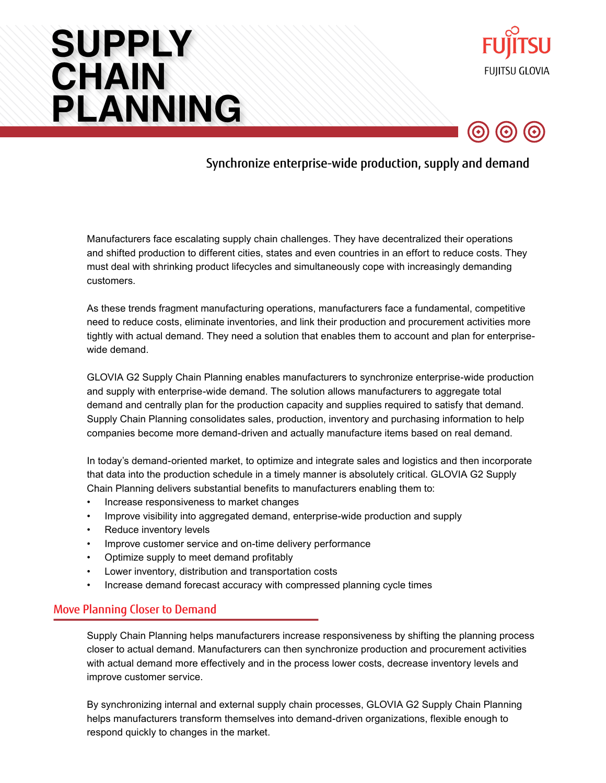# **SUPPLY CHAIN PLANNING**





Synchronize enterprise-wide production, supply and demand

Manufacturers face escalating supply chain challenges. They have decentralized their operations and shifted production to different cities, states and even countries in an effort to reduce costs. They must deal with shrinking product lifecycles and simultaneously cope with increasingly demanding customers.

As these trends fragment manufacturing operations, manufacturers face a fundamental, competitive need to reduce costs, eliminate inventories, and link their production and procurement activities more tightly with actual demand. They need a solution that enables them to account and plan for enterprisewide demand.

GLOVIA G2 Supply Chain Planning enables manufacturers to synchronize enterprise-wide production and supply with enterprise-wide demand. The solution allows manufacturers to aggregate total demand and centrally plan for the production capacity and supplies required to satisfy that demand. Supply Chain Planning consolidates sales, production, inventory and purchasing information to help companies become more demand-driven and actually manufacture items based on real demand.

In today's demand-oriented market, to optimize and integrate sales and logistics and then incorporate that data into the production schedule in a timely manner is absolutely critical. GLOVIA G2 Supply Chain Planning delivers substantial benefits to manufacturers enabling them to:

- Increase responsiveness to market changes
- Improve visibility into aggregated demand, enterprise-wide production and supply
- Reduce inventory levels
- Improve customer service and on-time delivery performance
- Optimize supply to meet demand profitably
- Lower inventory, distribution and transportation costs
- Increase demand forecast accuracy with compressed planning cycle times

#### Move Planning Closer to Demand

Supply Chain Planning helps manufacturers increase responsiveness by shifting the planning process closer to actual demand. Manufacturers can then synchronize production and procurement activities with actual demand more effectively and in the process lower costs, decrease inventory levels and improve customer service.

By synchronizing internal and external supply chain processes, GLOVIA G2 Supply Chain Planning helps manufacturers transform themselves into demand-driven organizations, flexible enough to respond quickly to changes in the market.